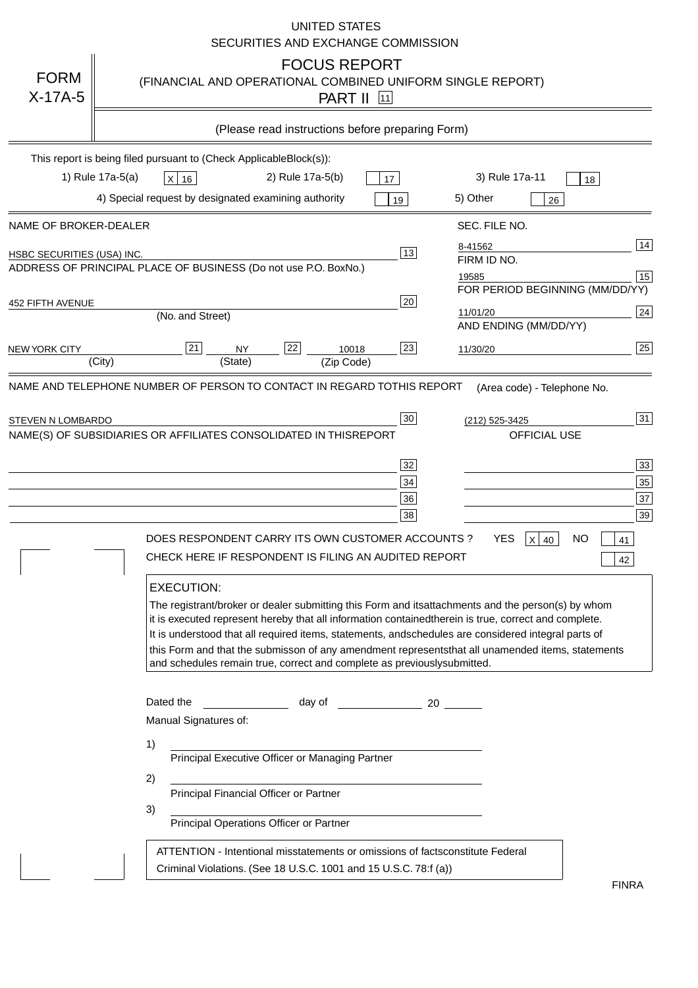|                            | <b>UNITED STATES</b><br>SECURITIES AND EXCHANGE COMMISSION                                                                                                                                                                                                                                                                                                                                                                                                                                                                                                                                                                                                                                                                          |
|----------------------------|-------------------------------------------------------------------------------------------------------------------------------------------------------------------------------------------------------------------------------------------------------------------------------------------------------------------------------------------------------------------------------------------------------------------------------------------------------------------------------------------------------------------------------------------------------------------------------------------------------------------------------------------------------------------------------------------------------------------------------------|
| <b>FORM</b><br>$X-17A-5$   | <b>FOCUS REPORT</b><br>(FINANCIAL AND OPERATIONAL COMBINED UNIFORM SINGLE REPORT)<br><b>PART II</b> [11]                                                                                                                                                                                                                                                                                                                                                                                                                                                                                                                                                                                                                            |
|                            | (Please read instructions before preparing Form)                                                                                                                                                                                                                                                                                                                                                                                                                                                                                                                                                                                                                                                                                    |
|                            | This report is being filed pursuant to (Check Applicable<br>$Block(s)$ :<br>1) Rule 17a-5(a)<br>3) Rule 17a-11<br>2) Rule 17a-5(b)<br>$X$ 16<br>17<br>18<br>4) Special request by designated examining authority<br>5) Other<br>19<br>26                                                                                                                                                                                                                                                                                                                                                                                                                                                                                            |
| NAME OF BROKER-DEALER      | SEC. FILE NO.                                                                                                                                                                                                                                                                                                                                                                                                                                                                                                                                                                                                                                                                                                                       |
| HSBC SECURITIES (USA) INC. | 14<br>8-41562<br>13<br>FIRM ID NO.<br>ADDRESS OF PRINCIPAL PLACE OF BUSINESS (Do not use P.O. Box<br>No.)<br>15<br>19585<br>FOR PERIOD BEGINNING (MM/DD/YY)                                                                                                                                                                                                                                                                                                                                                                                                                                                                                                                                                                         |
| <b>452 FIFTH AVENUE</b>    | 20<br> 24 <br>11/01/20<br>(No. and Street)<br>AND ENDING (MM/DD/YY)                                                                                                                                                                                                                                                                                                                                                                                                                                                                                                                                                                                                                                                                 |
| <b>NEW YORK CITY</b>       | 25<br>22<br>21<br>23<br><b>NY</b><br>10018<br>11/30/20<br>(City)<br>(State)<br>(Zip Code)                                                                                                                                                                                                                                                                                                                                                                                                                                                                                                                                                                                                                                           |
| STEVEN N LOMBARDO          | 31<br>30<br>(212) 525-3425<br>NAME(S) OF SUBSIDIARIES OR AFFILIATES CONSOLIDATED IN THIS<br><b>REPORT</b><br><b>OFFICIAL USE</b><br>$\overline{33}$<br>32<br>35<br>$34$<br>37<br>36<br>39<br>38<br>$X$ 40<br>DOES RESPONDENT CARRY ITS OWN CUSTOMER ACCOUNTS?<br>YES<br>NO<br>41<br>CHECK HERE IF RESPONDENT IS FILING AN AUDITED REPORT<br>42<br><b>EXECUTION:</b>                                                                                                                                                                                                                                                                                                                                                                 |
|                            | The registrant/broker or dealer submitting this Form and its<br>attachments and the person(s) by whom<br>it is executed represent hereby that all information contained<br>therein is true, correct and complete.<br>It is understood that all required items, statements, and<br>schedules are considered integral parts of<br>this Form and that the submisson of any amendment represents<br>that all unamended items, statements<br>and schedules remain true, correct and complete as previously<br>submitted.<br>Dated the<br>day of<br>20<br>Manual Signatures of:<br>1)<br>Principal Executive Officer or Managing Partner<br>2)<br>Principal Financial Officer or Partner<br>3)<br>Principal Operations Officer or Partner |
|                            | constitute Federal<br>ATTENTION - Intentional misstatements or omissions of facts<br>Criminal Violations. (See 18 U.S.C. 1001 and 15 U.S.C. 78:f (a)<br>$\lambda$<br><b>FINRA</b>                                                                                                                                                                                                                                                                                                                                                                                                                                                                                                                                                   |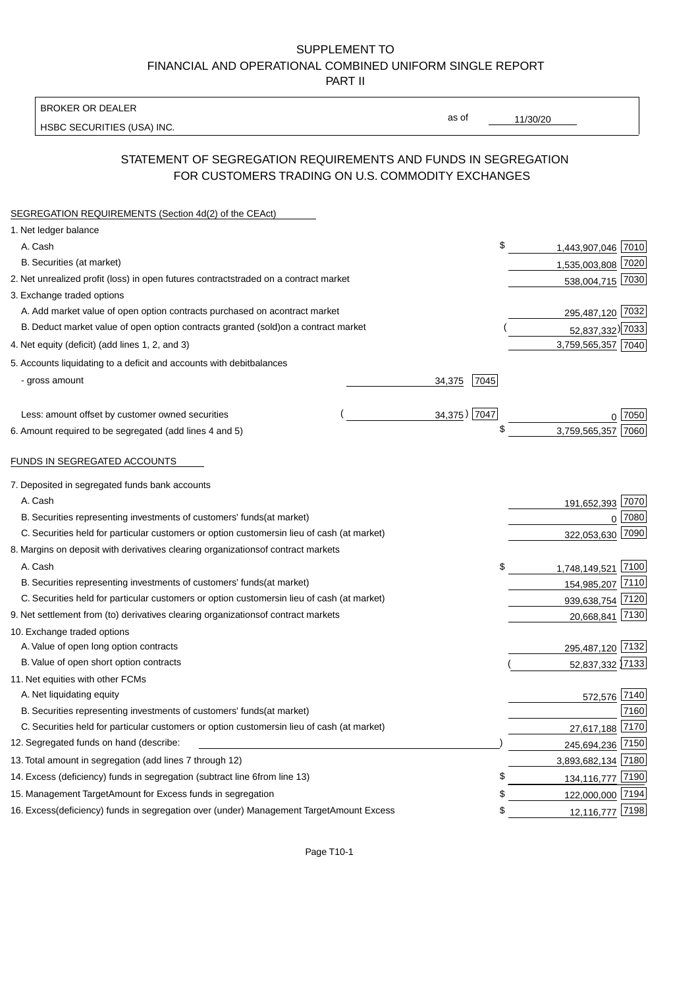BROKER OR DEALER

HSBC SECURITIES (USA) INC.

11/30/20

as of

## STATEMENT OF SEGREGATION REQUIREMENTS AND FUNDS IN SEGREGATION FOR CUSTOMERS TRADING ON U.S. COMMODITY EXCHANGES

| SEGREGATION REQUIREMENTS (Section 4d(2) of the CEAct)                                          |                |                       |  |
|------------------------------------------------------------------------------------------------|----------------|-----------------------|--|
| 1. Net ledger balance                                                                          |                |                       |  |
| A. Cash                                                                                        | \$             | 1,443,907,046 7010    |  |
| B. Securities (at market)                                                                      |                | 1,535,003,808 7020    |  |
| 2. Net unrealized profit (loss) in open futures contracts<br>traded on a contract market       |                | 538,004,715 7030      |  |
| 3. Exchange traded options                                                                     |                |                       |  |
| A. Add market value of open option contracts purchased on a<br>contract market                 |                | 295,487,120 7032      |  |
| B. Deduct market value of open option contracts granted (sold)<br>on a contract market         |                | 52,837,332) 7033      |  |
| 4. Net equity (deficit) (add lines 1, 2, and 3)                                                |                | 3,759,565,357 7040    |  |
| 5. Accounts liquidating to a deficit and accounts with debit<br>balances                       |                |                       |  |
| - gross amount                                                                                 | 7045<br>34,375 |                       |  |
|                                                                                                |                |                       |  |
| Less: amount offset by customer owned securities                                               | 34,375) 7047   | 7050                  |  |
| 6. Amount required to be segregated (add lines 4 and 5)                                        | \$             | 3,759,565,357<br>7060 |  |
|                                                                                                |                |                       |  |
| FUNDS IN SEGREGATED ACCOUNTS                                                                   |                |                       |  |
| 7. Deposited in segregated funds bank accounts                                                 |                |                       |  |
| A. Cash                                                                                        |                | 191,652,393 7070      |  |
| B. Securities representing investments of customers' funds<br>(at market)                      |                | 7080<br>$\Omega$      |  |
| C. Securities held for particular customers or option customers<br>in lieu of cash (at market) |                | 322,053,630 7090      |  |
| 8. Margins on deposit with derivatives clearing organizations<br>of contract markets           |                |                       |  |
| A. Cash                                                                                        | \$             | 1,748,149,521 7100    |  |
| B. Securities representing investments of customers' funds<br>(at market)                      |                | 154,985,207 7110      |  |
| C. Securities held for particular customers or option customers<br>in lieu of cash (at market) |                | 939,638,754<br>7120   |  |
| 9. Net settlement from (to) derivatives clearing organizations<br>of contract markets          |                | 7130<br>20,668,841    |  |
| 10. Exchange traded options                                                                    |                |                       |  |
| A. Value of open long option contracts                                                         |                | 295,487,120 7132      |  |
| B. Value of open short option contracts                                                        |                | 52,837,332 7133       |  |
| 11. Net equities with other FCMs                                                               |                |                       |  |
| A. Net liquidating equity                                                                      |                | 572,576 7140          |  |
| B. Securities representing investments of customers' funds<br>(at market)                      |                | 7160                  |  |
| C. Securities held for particular customers or option customers<br>in lieu of cash (at market) |                | 7170<br>27,617,188    |  |
| 12. Segregated funds on hand (describe:                                                        |                | 245,694,236 7150      |  |
| 13. Total amount in segregation (add lines 7 through 12)                                       |                | 3,893,682,134 7180    |  |
| 14. Excess (deficiency) funds in segregation (subtract line 6 from line 13)                    | \$             | 134, 116, 777 7190    |  |
| 15. Management Target Amount for Excess funds in segregation                                   | \$             | 122,000,000 7194      |  |
| 16. Excess (deficiency) funds in segregation over (under) Management Target Amount Excess      | \$             | 12,116,777 7198       |  |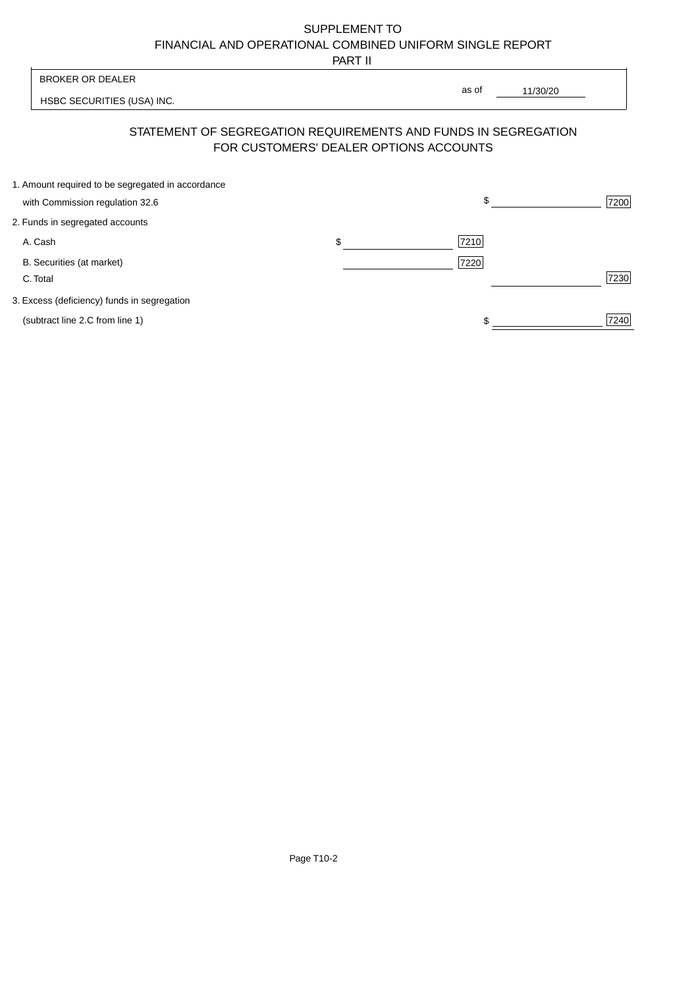PART II

|                                                   | .                                      |                                                                |      |
|---------------------------------------------------|----------------------------------------|----------------------------------------------------------------|------|
| <b>BROKER OR DEALER</b>                           |                                        | as of                                                          |      |
| HSBC SECURITIES (USA) INC.                        |                                        | 11/30/20                                                       |      |
|                                                   | FOR CUSTOMERS' DEALER OPTIONS ACCOUNTS | STATEMENT OF SEGREGATION REQUIREMENTS AND FUNDS IN SEGREGATION |      |
| 1. Amount required to be segregated in accordance |                                        |                                                                |      |
| with Commission regulation 32.6                   |                                        | \$                                                             | 7200 |
| 2. Funds in segregated accounts                   |                                        |                                                                |      |
| A. Cash                                           | \$                                     | 7210                                                           |      |
| B. Securities (at market)                         |                                        | 7220                                                           |      |
| C. Total                                          |                                        |                                                                | 7230 |
| 3. Excess (deficiency) funds in segregation       |                                        |                                                                |      |
| (subtract line 2.C from line 1)                   |                                        |                                                                | 7240 |
|                                                   |                                        |                                                                |      |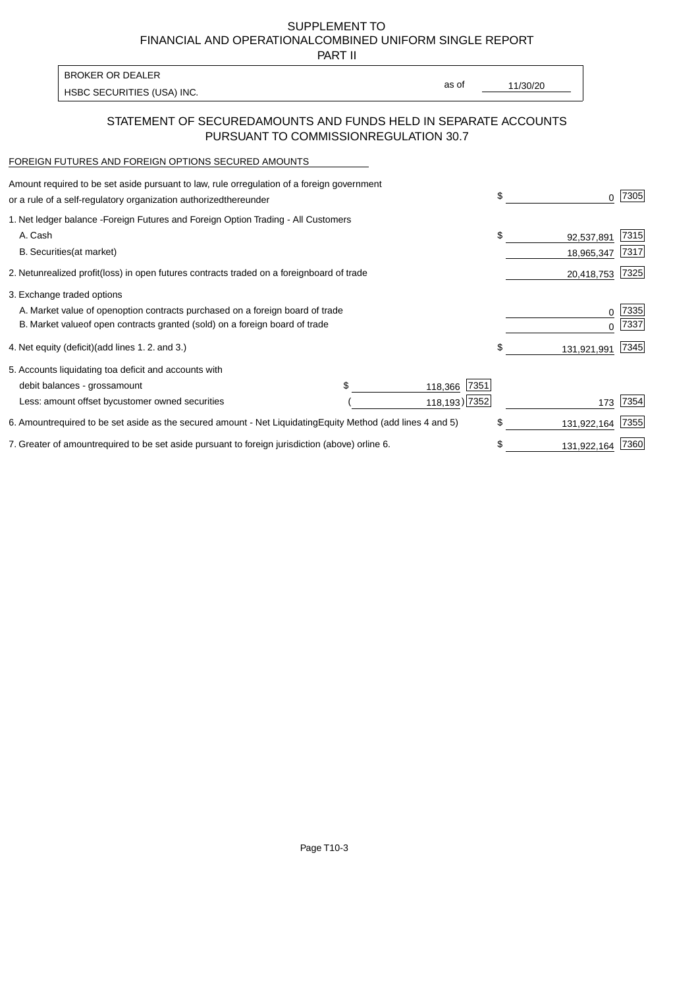PART II

| <b>BROKER OR DEALER</b>    |       |          |
|----------------------------|-------|----------|
| HSBC SECURITIES (USA) INC. | as of | 11/30/20 |

### STATEMENT OF SECURED AMOUNTS AND FUNDS HELD IN SEPARATE ACCOUNTS PURSUANT TO COMMISSION REGULATION 30.7

#### FOREIGN FUTURES AND FOREIGN OPTIONS SECURED AMOUNTS

| Amount required to be set aside pursuant to law, rule or regulation of a foreign government<br>or a rule of a self-regulatory organization authorized<br>thereunder                          | \$ | 0                        | 7305         |
|----------------------------------------------------------------------------------------------------------------------------------------------------------------------------------------------|----|--------------------------|--------------|
| 1. Net ledger balance - Foreign Futures and Foreign Option Trading - All Customers<br>A. Cash<br><b>B.</b> Securities<br>(at market)                                                         | \$ | 92,537,891<br>18,965,347 | 7315<br>7317 |
| 2. Net unrealized profit (loss) in open futures contracts traded on a foreign<br>board of trade                                                                                              |    | 20,418,753               | 7325         |
| 3. Exchange traded options<br>A. Market value of open option contracts purchased on a foreign board of trade<br>B. Market value of open contracts granted (sold) on a foreign board of trade |    | 0                        | 7335<br>7337 |
| (add lines 1.2. and 3.)<br>4. Net equity (deficit)                                                                                                                                           | \$ | 131,921,991              | 7345         |
| 5. Accounts liquidating to a deficit and accounts with<br>7351<br>debit balances - gross<br>amount<br>118,366<br>Less: amount offset by customer owned securities<br>118,193) 7352           |    | 173                      | 7354         |
| 6. Amount required to be set aside as the secured amount - Net Liquidating<br>Equity Method (add lines 4 and 5)                                                                              | \$ | 131,922,164              | 7355         |
| 7. Greater of amount required to be set aside pursuant to foreign jurisdiction (above) or<br>line 6.                                                                                         | S  | 131,922,164              | 7360         |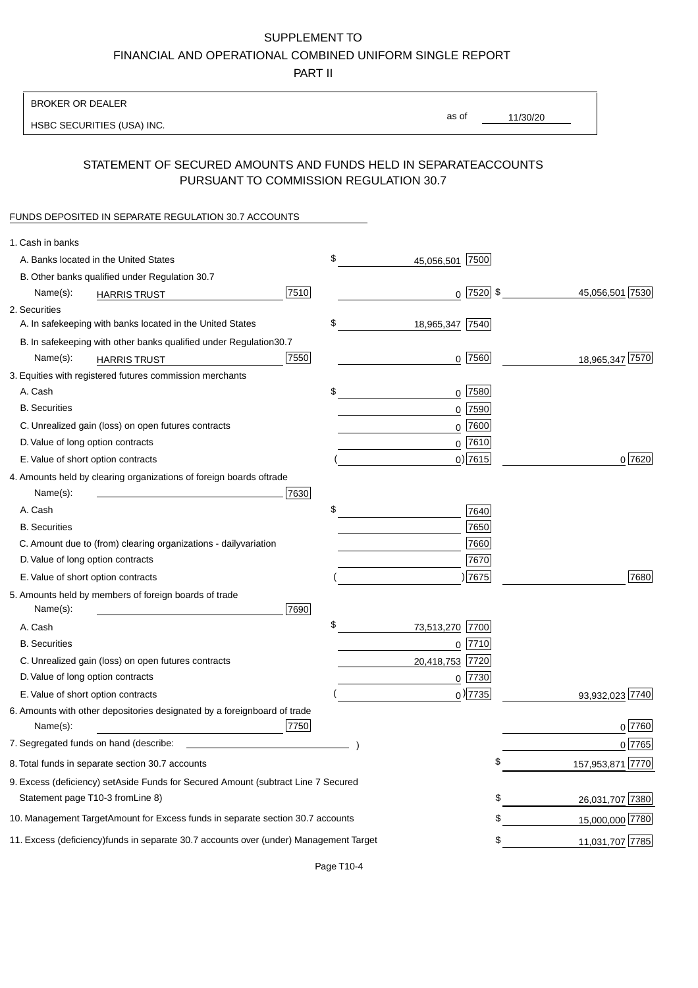PART II

| <b>BROKER OR DEALER</b>                                                                           |                        |                    |                 |                  |
|---------------------------------------------------------------------------------------------------|------------------------|--------------------|-----------------|------------------|
| HSBC SECURITIES (USA) INC.                                                                        |                        | as of              | 11/30/20        |                  |
|                                                                                                   |                        |                    |                 |                  |
| STATEMENT OF SECURED AMOUNTS AND FUNDS HELD IN SEPARATE<br>PURSUANT TO COMMISSION REGULATION 30.7 |                        |                    | <b>ACCOUNTS</b> |                  |
| FUNDS DEPOSITED IN SEPARATE REGULATION 30.7 ACCOUNTS                                              |                        |                    |                 |                  |
| 1. Cash in banks                                                                                  |                        |                    |                 |                  |
| A. Banks located in the United States                                                             | \$                     | 7500<br>45,056,501 |                 |                  |
| B. Other banks qualified under Regulation 30.7                                                    |                        |                    |                 |                  |
| Name(s):<br><b>HARRIS TRUST</b>                                                                   | 7510                   | $0$ 7520 \$        |                 | 45,056,501 7530  |
| 2. Securities                                                                                     |                        |                    |                 |                  |
| A. In safekeeping with banks located in the United States                                         | \$                     | 18,965,347 7540    |                 |                  |
| B. In safekeeping with other banks qualified under Regulation                                     | 30.7                   |                    |                 |                  |
| Name(s):<br><b>HARRIS TRUST</b>                                                                   | 7550                   | $0$ 7560           |                 | 18,965,347 7570  |
| 3. Equities with registered futures commission merchants                                          |                        |                    |                 |                  |
| A. Cash                                                                                           | \$                     | $0$ 7580           |                 |                  |
| <b>B.</b> Securities                                                                              |                        | $0$ 7590           |                 |                  |
| C. Unrealized gain (loss) on open futures contracts                                               |                        | $0$ 7600           |                 |                  |
| D. Value of long option contracts                                                                 |                        | $0$ 7610           |                 |                  |
| E. Value of short option contracts                                                                |                        | $0)$ 7615          |                 | 0 7620           |
| 4. Amounts held by clearing organizations of foreign boards of                                    | trade                  |                    |                 |                  |
| Name(s):                                                                                          | 7630                   |                    |                 |                  |
| A. Cash                                                                                           | \$                     | 7640               |                 |                  |
| <b>B.</b> Securities                                                                              |                        | 7650               |                 |                  |
| C. Amount due to (from) clearing organizations - daily<br>variation                               |                        | 7660               |                 |                  |
| D. Value of long option contracts                                                                 |                        | 7670               |                 |                  |
| E. Value of short option contracts                                                                |                        | ) 7675             |                 | 7680             |
| 5. Amounts held by members of foreign boards of trade<br>Name(s):                                 | 7690                   |                    |                 |                  |
| A. Cash                                                                                           | \$                     | 73,513,270 7700    |                 |                  |
| <b>B.</b> Securities                                                                              |                        | 7710<br>0          |                 |                  |
| C. Unrealized gain (loss) on open futures contracts                                               |                        | 20,418,753 7720    |                 |                  |
| D. Value of long option contracts                                                                 |                        | $0$ 7730           |                 |                  |
| E. Value of short option contracts                                                                |                        | $_0$ ) 7735        |                 | 93,932,023 7740  |
| 6. Amounts with other depositories designated by a foreign<br>Name(s):                            | board of trade<br>7750 |                    |                 | 0 7760           |
| 7. Segregated funds on hand (describe:                                                            |                        |                    |                 | 0 7765           |
| 8. Total funds in separate section 30.7 accounts                                                  |                        |                    | \$              | 157,953,871 7770 |
| 9. Excess (deficiency) set Aside Funds for Secured Amount (subtract Line 7 Secured                |                        |                    |                 |                  |
| Statement page T10-3 from Line 8)                                                                 |                        |                    | \$              | 26,031,707 7380  |
| 10. Management Target Amount for Excess funds in separate section 30.7 accounts                   |                        |                    | \$              | 15,000,000 7780  |
| 11. Excess (deficiency) funds in separate 30.7 accounts over (under) Management Target            |                        |                    | \$              | 11,031,707 7785  |
|                                                                                                   |                        |                    |                 |                  |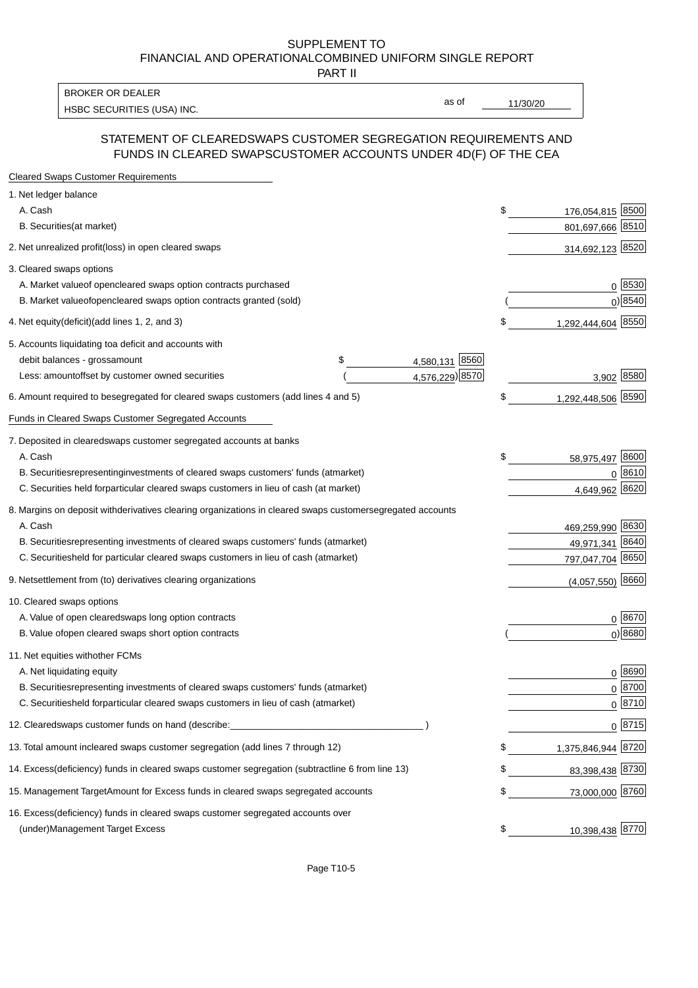PART II

HSBC SECURITIES (USA) INC. The state of the state of the state of the state of the state of the state of the state of the state of the state of the state of the state of the state of the state of the state of the state of BROKER OR DEALER

as of

#### STATEMENT OF CLEARED SWAPS CUSTOMER SEGREGATION REQUIREMENTS AND FUNDS IN CLEARED SWAPS CUSTOMER ACCOUNTS UNDER 4D(F) OF THE CEA

| <b>Cleared Swaps Customer Requirements</b>                                                                  |    |                    |
|-------------------------------------------------------------------------------------------------------------|----|--------------------|
| 1. Net ledger balance                                                                                       |    |                    |
| A. Cash                                                                                                     | \$ | 176,054,815 8500   |
| B. Securities (at market)                                                                                   |    | 801,697,666 8510   |
| 2. Net unrealized profit (loss) in open cleared swaps                                                       |    | 314,692,123 8520   |
| 3. Cleared swaps options                                                                                    |    |                    |
| A. Market value of open cleared swaps option contracts purchased                                            |    | 0   8530           |
| B. Market value of open cleared swaps option contracts granted (sold)                                       |    | $0)$ 8540          |
| 4. Net equity (deficit) (add lines 1, 2, and 3)                                                             | \$ | 1,292,444,604 8550 |
| 5. Accounts liquidating to a deficit and accounts with                                                      |    |                    |
| 4,580,131 8560<br>debit balances - gross<br>\$<br>amount                                                    |    |                    |
| 4,576,229) 8570<br>Less: amount offset by customer owned securities                                         |    | 3,902 8580         |
| 6. Amount required to be segregated for cleared swaps customers (add lines 4 and 5)                         | S  | 1,292,448,506 8590 |
| Funds in Cleared Swaps Customer Segregated Accounts                                                         |    |                    |
| 7. Deposited in cleared swaps customer segregated accounts at banks                                         |    |                    |
| A. Cash                                                                                                     | \$ | 58,975,497 8600    |
| B. Securities representing investments of cleared swaps customers' funds (at market)                        |    | $0^{8610}$         |
| C. Securities held for particular cleared swaps customers in lieu of cash (at market)                       |    | 4,649,962 8620     |
| 8. Margins on deposit with derivatives clearing organizations in cleared swaps customer segregated accounts |    |                    |
| A. Cash                                                                                                     |    | 469,259,990 8630   |
| representing investments of cleared swaps customers' funds (at market)<br><b>B.</b> Securities              |    | 8640<br>49,971,341 |
| C. Securities held for particular cleared swaps customers in lieu of cash (at market)                       |    | 797,047,704 8650   |
| 9. Net settlement from (to) derivatives clearing organizations                                              |    | $(4,057,550)$ 8660 |
| 10. Cleared swaps options                                                                                   |    |                    |
| A. Value of open cleared swaps long option contracts                                                        |    | $0^{8670}$         |
| B. Value of open cleared swaps short option contracts                                                       |    | $0$ ) 8680         |
| 11. Net equities with other FCMs                                                                            |    |                    |
| A. Net liquidating equity                                                                                   |    | $0^{8690}$         |
| B. Securities representing investments of cleared swaps customers' funds (at market)                        |    | $0^{8700}$         |
| C. Securities held for particular cleared swaps customers in lieu of cash (at market)                       |    | 0 8710             |
| 12. Cleared swaps customer funds on hand (describe:                                                         |    | $0 \;  8715 $      |
| 13. Total amount in cleared swaps customer segregation (add lines 7 through 12)                             | S  | 1,375,846,944 8720 |
| 14. Excess (deficiency) funds in cleared swaps customer segregation (subtract line 6 from line 13)          |    | 83,398,438 8730    |
| 15. Management Target Amount for Excess funds in cleared swaps segregated accounts                          | \$ | 73,000,000 8760    |
| 16. Excess<br>(deficiency) funds in cleared swaps customer segregated accounts over                         |    |                    |
| <b>Management Target Excess</b><br>(under)                                                                  | \$ | 10,398,438 8770    |